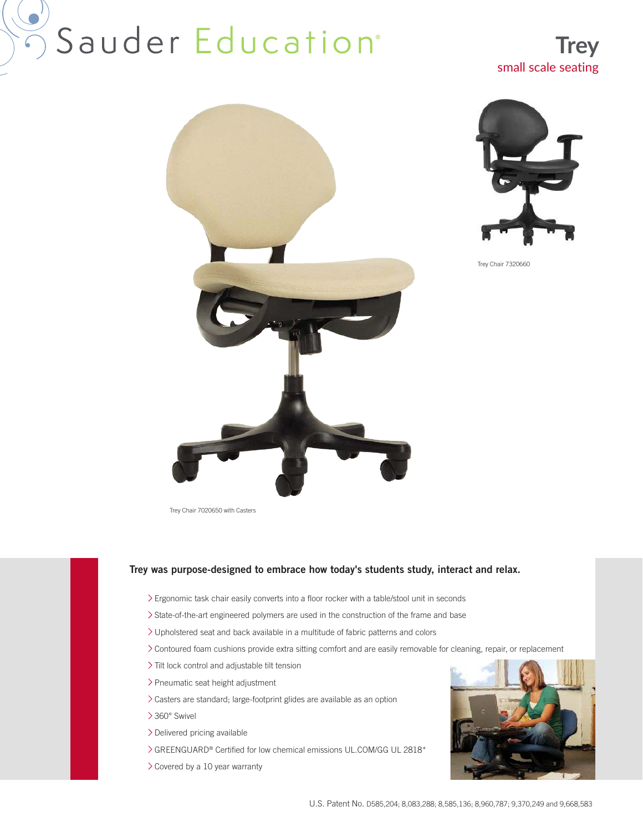# Sauder Education<sup>®</sup>







Trey Chair 7020650 with Casters

#### Trey was purpose-designed to embrace how today's students study, interact and relax.

- Ergonomic task chair easily converts into a floor rocker with a table/stool unit in seconds
- State-of-the-art engineered polymers are used in the construction of the frame and base
- Upholstered seat and back available in a multitude of fabric patterns and colors
- Contoured foam cushions provide extra sitting comfort and are easily removable for cleaning, repair, or replacement
- Tilt lock control and adjustable tilt tension
- Pneumatic seat height adjustment
- Casters are standard; large-footprint glides are available as an option
- 360° Swivel
- Delivered pricing available
- GREENGUARD® Certified for low chemical emissions UL.COM/GG UL 2818\*
- Covered by a 10 year warranty